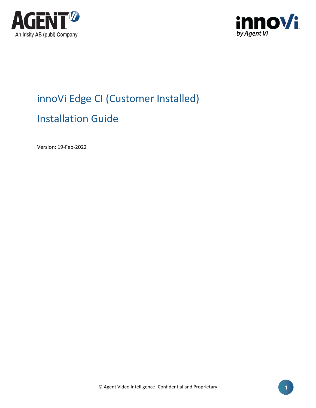



# innoVi Edge CI (Customer Installed) Installation Guide

Version: 19-Feb-2022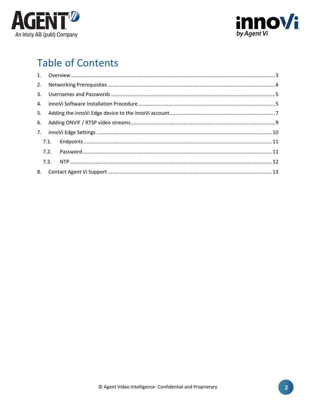



# **Table of Contents**

| 8. |  |
|----|--|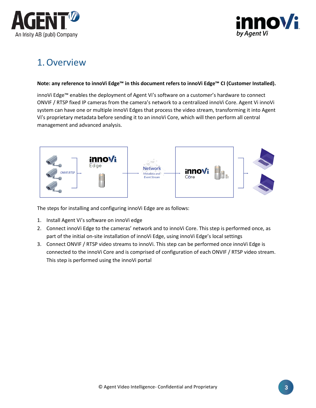



### <span id="page-2-0"></span>1.Overview

#### **Note: any reference to innoVi Edge™ in this document refers to innoVi Edge™ CI (Customer Installed).**

innoVi Edge™ enables the deployment of Agent Vi's software on a customer's hardware to connect ONVIF / RTSP fixed IP cameras from the camera's network to a centralized innoVi Core. Agent Vi innoVi system can have one or multiple innoVi Edges that process the video stream, transforming it into Agent Vi's proprietary metadata before sending it to an innoVi Core, which will then perform all central management and advanced analysis.



The steps for installing and configuring innoVi Edge are as follows:

- 1. Install Agent Vi's software on innoVi edge
- 2. Connect innoVi Edge to the cameras' network and to innoVi Core. This step is performed once, as part of the initial on-site installation of innoVi Edge, using innoVi Edge's local settings
- 3. Connect ONVIF / RTSP video streams to innoVi. This step can be performed once innoVi Edge is connected to the innoVi Core and is comprised of configuration of each ONVIF / RTSP video stream. This step is performed using the innoVi portal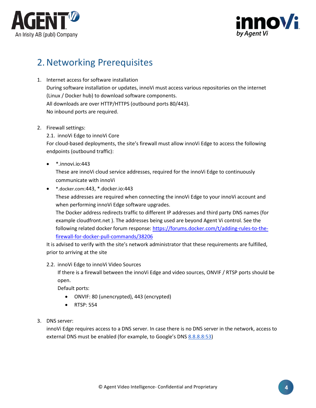



## <span id="page-3-0"></span>2.Networking Prerequisites

- 1. Internet access for software installation During software installation or updates, innoVi must access various repositories on the internet (Linux / Docker hub) to download software components. All downloads are over HTTP/HTTPS (outbound ports 80/443). No inbound ports are required.
- 2. Firewall settings:

2.1. innoVi Edge to innoVi Core For cloud-based deployments, the site's firewall must allow innoVi Edge to access the following endpoints (outbound traffic):

• \*.innovi.io:443

These are innoVi cloud service addresses, required for the innoVi Edge to continuously communicate with innoVi

• [\\*.docker.com](http://hub.docker.com/):443, \*.docker.io:443

These addresses are required when connecting the innoVi Edge to your innoVi account and when performing innoVi Edge software upgrades.

The Docker address redirects traffic to different IP addresses and third party DNS names (for example cloudfront.net ). The addresses being used are beyond Agent Vi control. See the following related docker forum response[: https://forums.docker.com/t/adding-rules-to-the](https://forums.docker.com/t/adding-rules-to-the-firewall-for-docker-pull-commands/38206)[firewall-for-docker-pull-commands/38206](https://forums.docker.com/t/adding-rules-to-the-firewall-for-docker-pull-commands/38206)

It is advised to verify with the site's network administrator that these requirements are fulfilled, prior to arriving at the site

2.2. innoVi Edge to innoVi Video Sources

If there is a firewall between the innoVi Edge and video sources, ONVIF / RTSP ports should be open.

Default ports:

- ONVIF: 80 (unencrypted), 443 (encrypted)
- RTSP: 554
- 3. DNS server:

innoVi Edge requires access to a DNS server. In case there is no DNS server in the network, access to external DNS must be enabled (for example, to Google's DNS 8.8.8.8:53)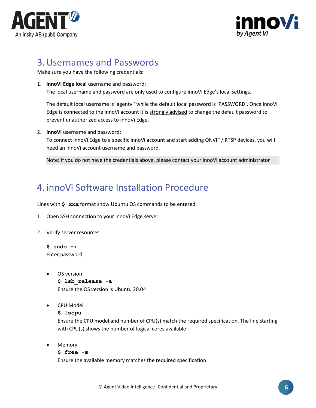



#### <span id="page-4-0"></span>3.Usernames and Passwords

Make sure you have the following credentials:

1. **innoVi Edge local** username and password: The local username and password are only used to configure innoVi Edge's local settings.

The default local username is 'agentvi' while the default local password is 'PASSWORD'. Once innoVi Edge is connected to the innoVi account it is strongly advised to change the default password to prevent unauthorized access to innoVi Edge.

2. **innoVi** username and password:

To connect innoVi Edge to a specific innoVi account and start adding ONVIF / RTSP devices, you will need an innoVi account username and password.

Note: If you do not have the credentials above, please contact your innoVi account administrator

#### <span id="page-4-1"></span>4. innoVi Software Installation Procedure

Lines with **\$ xxx** format show Ubuntu OS commands to be entered.

- 1. Open SSH connection to your innoVi Edge server
- 2. Verify server resources

**\$ sudo -i** Enter password

- OS version **\$ lsb\_release -a** Ensure the OS version is Ubuntu 20.04
- CPU Model
	- **\$ lscpu**

Ensure the CPU model and number of CPU(s) match the required specification. The line starting with CPU(s) shows the number of logical cores available

• Memory

#### **\$ free -m**

Ensure the available memory matches the required specification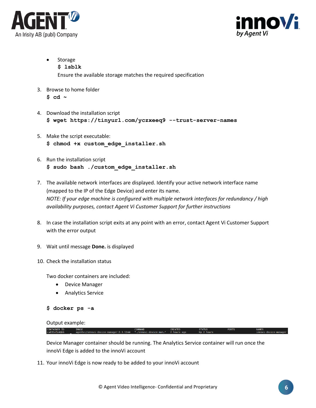



- **Storage \$ lsblk** Ensure the available storage matches the required specification
- 3. Browse to home folder **\$ cd ~**
- 4. Download the installation script **\$ wget https://tinyurl.com/yczxeeq9 --trust-server-names**
- 5. Make the script executable: **\$ chmod +x custom\_edge\_installer.sh**
- 6. Run the installation script **\$ sudo bash ./custom\_edge\_installer.sh**
- 7. The available network interfaces are displayed. Identify your active network interface name (mapped to the IP of the Edge Device) and enter its name. *NOTE: If your edge machine is configured with multiple network interfaces for redundancy / high availability purposes, contact Agent Vi Customer Support for further instructions*
- 8. In case the installation script exits at any point with an error, contact Agent Vi Customer Support with the error output
- 9. Wait until message **Done.** is displayed
- 10. Check the installation status

Two docker containers are included:

- Device Manager
- Analytics Service

```
$ docker ps -a
```
Output example:

CONTAINER ID<br>ca03lefe4deb

Device Manager container should be running. The Analytics Service container will run once the innoVi Edge is added to the innoVi account

11. Your innoVi Edge is now ready to be added to your innoVi account

NAMES<br>innovi-device-mar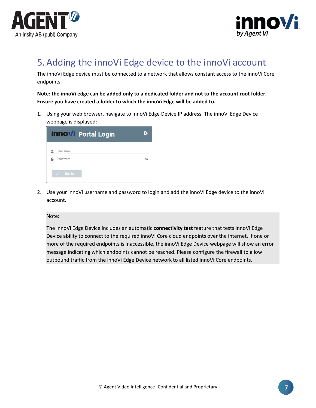



## <span id="page-6-0"></span>5.Adding the innoVi Edge device to the innoVi account

The innoVi Edge device must be connected to a network that allows constant access to the innoVi Core endpoints.

**Note: the innoVi edge can be added only to a dedicated folder and not to the account root folder. Ensure you have created a folder to which the innoVi Edge will be added to.**

1. Using your web browser, navigate to innoVi Edge Device IP address. The innoVi Edge Device webpage is displayed:

| <b>innovi</b> Portal Login | o |
|----------------------------|---|
| User email                 |   |
| Password                   |   |
| Sign in                    |   |

2. Use your innoVi username and password to login and add the innoVi Edge device to the innoVi account.

Note:

The innoVi Edge Device includes an automatic **connectivity test** feature that tests innoVi Edge Device ability to connect to the required innoVi Core cloud endpoints over the internet. If one or more of the required endpoints is inaccessible, the innoVi Edge Device webpage will show an error message indicating which endpoints cannot be reached. Please configure the firewall to allow outbound traffic from the innoVi Edge Device network to all listed innoVi Core [endpoints.](#page-3-0)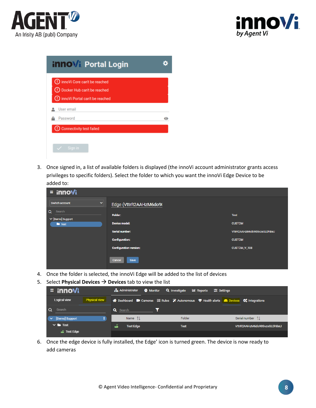



| (!) Docker Hub can't be reached    |         |
|------------------------------------|---------|
|                                    |         |
| (!) innoVi Portal can't be reached |         |
| User email                         |         |
| Password                           | $\circ$ |
| Connectivity test failed           |         |

3. Once signed in, a list of available folders is displayed (the innoVi account administrator grants access privileges to specific folders). Select the folder to which you want the innoVi Edge Device to be added to:

| $\equiv$ innovi                             |                               |                             |
|---------------------------------------------|-------------------------------|-----------------------------|
| Switch account<br>$\checkmark$              | Edge (VttrR2AAHzM6do9(        |                             |
| $\alpha$<br>Search<br>$\vee$ [Demo] Support | Folder:                       | <b>Test</b>                 |
| $\blacksquare$ Test                         | <b>Device model:</b>          | <b>CUSTOM</b>               |
|                                             | <b>Serial number:</b>         | VttrR2AAHzM6do90SvzsGLDhBeU |
|                                             | <b>Configuration:</b>         | <b>CUSTOM</b>               |
|                                             | <b>Configuration version:</b> | CUSTOM_V_108                |
|                                             | Cancel<br>Save                |                             |

- 4. Once the folder is selected, the innoVi Edge will be added to the list of devices
- 5. Select **Physical Devices** → **Devices** tab to view the list

| $\equiv$ innovi                      | $\frac{1}{\sqrt{1}}$ Administrator<br><b>O</b> Monitor <b>Q</b> Investigate         | <b>I.</b> Reports<br>$\equiv$ Settings |                             |
|--------------------------------------|-------------------------------------------------------------------------------------|----------------------------------------|-----------------------------|
| <b>Physical view</b><br>Logical view | A Dashboard ■ Cameras 三 Rules ※ Autonomous ♥ Health alerts ■ Devices ↓ Integrations |                                        |                             |
| Search                               | <b>Q</b> Search                                                                     |                                        |                             |
| [Demo] Support                       | Name $\uparrow \downarrow$                                                          | Folder                                 | Serial number 1             |
| $\vee$ $\blacksquare$ Test           | تە<br><b>Test Edge</b>                                                              | <b>Test</b>                            | VttrR2AAHzM6do90SvzsGLDhBeU |
| a Test Edge                          |                                                                                     |                                        |                             |

6. Once the edge device is fully installed, the Edge' icon is turned green. The device is now ready to add cameras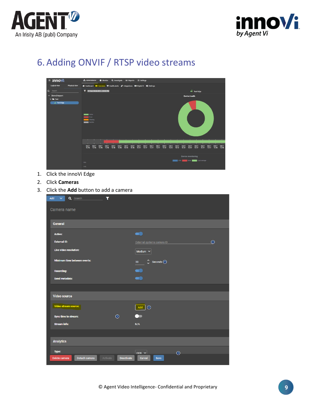



# <span id="page-8-0"></span>6.Adding ONVIF / RTSP video streams



- 1. Click the innoVi Edge
- 2. Click **Cameras**
- 3. Click the **Add** button to add a camera

| $\overline{\mathbf{r}}$<br>Add<br>$\checkmark$<br>Q Search <b>Q</b> Search |                                        |
|----------------------------------------------------------------------------|----------------------------------------|
| Camera name                                                                |                                        |
| <b>General</b>                                                             |                                        |
| <b>Active:</b>                                                             |                                        |
| <b>External ID:</b>                                                        | $\Omega$<br>External systems camera ID |
| Live video resolution:                                                     | Medium $\vee$                          |
| <b>Minimum time between events:</b>                                        | Ω<br>Seconds $(?)$<br>30               |
| <b>Recording:</b>                                                          |                                        |
| Send metadata:                                                             |                                        |
|                                                                            |                                        |
| <b>Video source</b>                                                        |                                        |
| Video stream source:                                                       | Add<br>$\odot$                         |
| $\odot$<br><b>Sync time to stream:</b>                                     |                                        |
| <b>Stream info:</b>                                                        | N/A                                    |
|                                                                            |                                        |
| <b>Analytics</b>                                                           |                                        |
| Type:                                                                      | $ccn$ $\sim$<br>$\odot$                |
| Detach camera<br>Activate<br>Delete camera                                 | Deactivate<br>Cancel<br>Save           |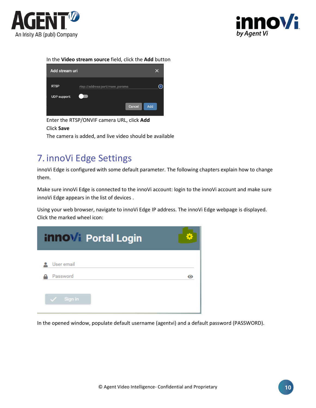



#### In the **Video stream source** field, click the **Add** button

| Add stream uri      |                                 | x |
|---------------------|---------------------------------|---|
| <b>RTSP</b>         | rtsp://address:port/more_params | ? |
| <b>UDP</b> support: |                                 |   |
|                     | Add<br>Cancel                   |   |

Enter the RTSP/ONVIF camera URL, click **Add** Click **Save** The camera is added, and live video should be available

### <span id="page-9-0"></span>7. innoVi Edge Settings

innoVi Edge is configured with some default parameter. The following chapters explain how to change them.

Make sure innoVi Edge is connected to the innoVi account: login to the innoVi account and make sure innoVi Edge appears in the list of devices .

Using your web browser, navigate to innoVi Edge IP address. The innoVi Edge webpage is displayed. Click the marked wheel icon:

| <b>innovi</b> Portal Login |  |
|----------------------------|--|
| User email<br>Password     |  |
| Sign in                    |  |

In the opened window, populate default username (agentvi) and a default password (PASSWORD).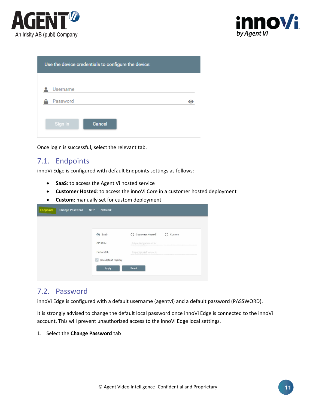



| Use the device credentials to configure the device: |        |  |  |
|-----------------------------------------------------|--------|--|--|
| Username                                            |        |  |  |
| Password                                            |        |  |  |
| Sign in                                             | Cancel |  |  |

Once login is successful, select the relevant tab.

#### <span id="page-10-0"></span>7.1. Endpoints

innoVi Edge is configured with default Endpoints settings as follows:

- **SaaS**: to access the Agent Vi hosted service
- **Customer Hosted**: to access the innoVi Core in a customer hosted deployment
- **Custom**: manually set for custom deployment

| SaaS            | <b>Customer Hosted</b><br>Custom |
|-----------------|----------------------------------|
|                 |                                  |
| <b>API URL:</b> | https://edge.innovi.io           |
| Portal URL:     | https://portal.innovi.io         |

#### <span id="page-10-1"></span>7.2. Password

innoVi Edge is configured with a default username (agentvi) and a default password (PASSWORD).

It is strongly advised to change the default local password once innoVi Edge is connected to the innoVi account. This will prevent unauthorized access to the innoVi Edge local settings.

1. Select the **Change Password** tab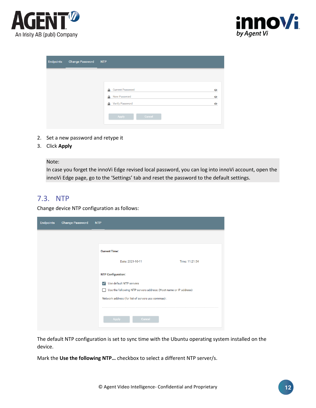



| <b>Endpoints</b> | <b>Change Password</b> | <b>NTP</b>                   |           |
|------------------|------------------------|------------------------------|-----------|
|                  |                        |                              |           |
|                  |                        | <b>Current Password</b><br>А | $\bullet$ |
|                  |                        | New Password<br>А            | $\bullet$ |
|                  |                        | <b>Verify Password</b><br>А  | $\bullet$ |
|                  |                        | Apply<br>Cancel              |           |
|                  |                        |                              |           |

- 2. Set a new password and retype it
- 3. Click **Apply**

Note:

In case you forget the innoVi Edge revised local password, you can log into innoVi account, open the innoVi Edge page, go to the 'Settings' tab and reset the password to the default settings.

#### <span id="page-11-0"></span>7.3. NTP

Change device NTP configuration as follows:

| <b>Endpoints</b> | <b>Change Password</b> | <b>NTP</b>                                                                                                  |
|------------------|------------------------|-------------------------------------------------------------------------------------------------------------|
|                  |                        |                                                                                                             |
|                  |                        | <b>Current Time:</b>                                                                                        |
|                  |                        | Time: 11:21:54<br>Date: 2021-10-11                                                                          |
|                  |                        | <b>NTP Configuration:</b>                                                                                   |
|                  |                        | Use default NTP servers<br>$\checkmark$<br>Use the following NTP servers address: (Host name or IP address) |
|                  |                        | Network address (for list of servers use commas) :                                                          |
|                  |                        |                                                                                                             |
|                  |                        | Apply<br>Cancel                                                                                             |

The default NTP configuration is set to sync time with the Ubuntu operating system installed on the device.

Mark the **Use the following NTP…** checkbox to select a different NTP server/s.